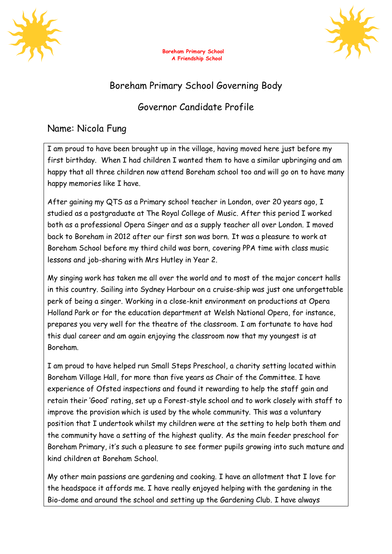





## Boreham Primary School Governing Body

## Governor Candidate Profile

## Name: Nicola Fung

I am proud to have been brought up in the village, having moved here just before my first birthday. When I had children I wanted them to have a similar upbringing and am happy that all three children now attend Boreham school too and will go on to have many happy memories like I have.

After gaining my QTS as a Primary school teacher in London, over 20 years ago, I studied as a postgraduate at The Royal College of Music. After this period I worked both as a professional Opera Singer and as a supply teacher all over London. I moved back to Boreham in 2012 after our first son was born. It was a pleasure to work at Boreham School before my third child was born, covering PPA time with class music lessons and job-sharing with Mrs Hutley in Year 2.

My singing work has taken me all over the world and to most of the major concert halls in this country. Sailing into Sydney Harbour on a cruise-ship was just one unforgettable perk of being a singer. Working in a close-knit environment on productions at Opera Holland Park or for the education department at Welsh National Opera, for instance, prepares you very well for the theatre of the classroom. I am fortunate to have had this dual career and am again enjoying the classroom now that my youngest is at Boreham.

I am proud to have helped run Small Steps Preschool, a charity setting located within Boreham Village Hall, for more than five years as Chair of the Committee. I have experience of Ofsted inspections and found it rewarding to help the staff gain and retain their 'Good' rating, set up a Forest-style school and to work closely with staff to improve the provision which is used by the whole community. This was a voluntary position that I undertook whilst my children were at the setting to help both them and the community have a setting of the highest quality. As the main feeder preschool for Boreham Primary, it's such a pleasure to see former pupils growing into such mature and kind children at Boreham School.

My other main passions are gardening and cooking. I have an allotment that I love for the headspace it affords me. I have really enjoyed helping with the gardening in the Bio-dome and around the school and setting up the Gardening Club. I have always